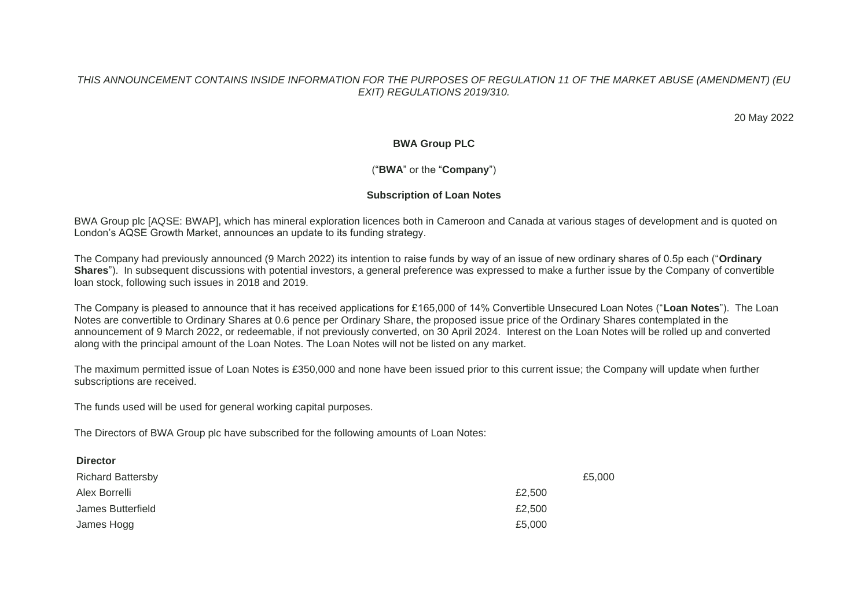#### *THIS ANNOUNCEMENT CONTAINS INSIDE INFORMATION FOR THE PURPOSES OF REGULATION 11 OF THE MARKET ABUSE (AMENDMENT) (EU EXIT) REGULATIONS 2019/310.*

20 May 2022

## **BWA Group PLC**

# ("**BWA**" or the "**Company**")

## **Subscription of Loan Notes**

BWA Group plc [AQSE: BWAP], which has mineral exploration licences both in Cameroon and Canada at various stages of development and is quoted on London's AQSE Growth Market, announces an update to its funding strategy.

The Company had previously announced (9 March 2022) its intention to raise funds by way of an issue of new ordinary shares of 0.5p each ("**Ordinary Shares**"). In subsequent discussions with potential investors, a general preference was expressed to make a further issue by the Company of convertible loan stock, following such issues in 2018 and 2019.

The Company is pleased to announce that it has received applications for £165,000 of 14% Convertible Unsecured Loan Notes ("**Loan Notes**"). The Loan Notes are convertible to Ordinary Shares at 0.6 pence per Ordinary Share, the proposed issue price of the Ordinary Shares contemplated in the announcement of 9 March 2022, or redeemable, if not previously converted, on 30 April 2024. Interest on the Loan Notes will be rolled up and converted along with the principal amount of the Loan Notes. The Loan Notes will not be listed on any market.

The maximum permitted issue of Loan Notes is £350,000 and none have been issued prior to this current issue; the Company will update when further subscriptions are received.

The funds used will be used for general working capital purposes.

The Directors of BWA Group plc have subscribed for the following amounts of Loan Notes:

| <b>Richard Battersby</b> | £5,000 |
|--------------------------|--------|
| Alex Borrelli            | £2,500 |
| James Butterfield        | £2,500 |
| James Hogg               | £5,000 |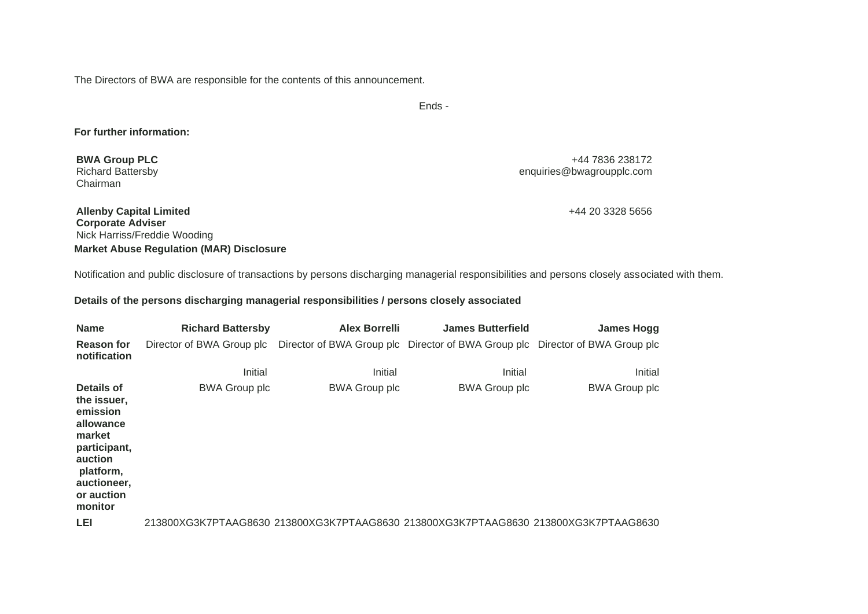The Directors of BWA are responsible for the contents of this announcement.

Ends -

### **For further information:**

**BWA Group PLC** Richard Battersby Chairman

+44 7836 238172 enquiries@bwagroupplc.com

**Allenby Capital Limited Corporate Adviser** Nick Harriss/Freddie Wooding **Market Abuse Regulation (MAR) Disclosure** +44 20 3328 5656

Notification and public disclosure of transactions by persons discharging managerial responsibilities and persons closely associated with them.

#### **Details of the persons discharging managerial responsibilities / persons closely associated**

| <b>Name</b>                                                                                                                                  | <b>Richard Battersby</b>                                                                                | <b>Alex Borrelli</b> | <b>James Butterfield</b> | <b>James Hogg</b>    |
|----------------------------------------------------------------------------------------------------------------------------------------------|---------------------------------------------------------------------------------------------------------|----------------------|--------------------------|----------------------|
| <b>Reason for</b><br>notification                                                                                                            | Director of BWA Group plc Director of BWA Group plc Director of BWA Group plc Director of BWA Group plc |                      |                          |                      |
|                                                                                                                                              | Initial                                                                                                 | Initial              | Initial                  | Initial              |
| Details of<br>the issuer,<br>emission<br>allowance<br>market<br>participant,<br>auction<br>platform,<br>auctioneer,<br>or auction<br>monitor | <b>BWA Group plc</b>                                                                                    | <b>BWA Group plc</b> | <b>BWA Group plc</b>     | <b>BWA Group plc</b> |
| LEI                                                                                                                                          | 213800XG3K7PTAAG8630_213800XG3K7PTAAG8630_213800XG3K7PTAAG8630_213800XG3K7PTAAG8630_                    |                      |                          |                      |